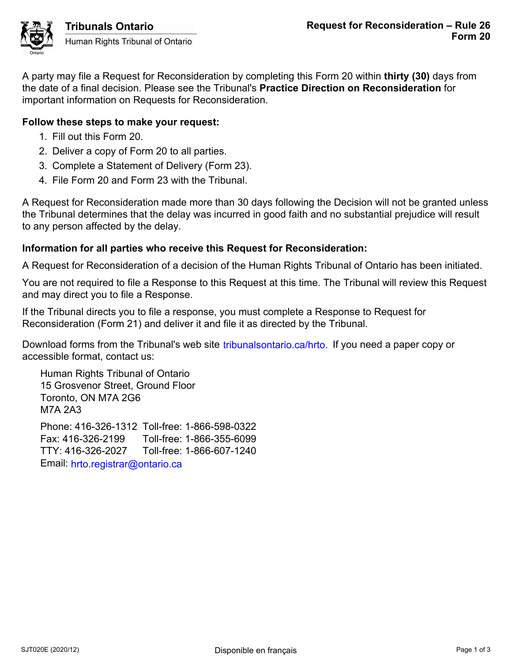

A party may file a Request for Reconsideration by completing this Form 20 within **thirty (30)** days from the date of a final decision. Please see the Tribunal's **Practice Direction on Reconsideration** for important information on Requests for Reconsideration.

# **Follow these steps to make your request:**

- 1. Fill out this Form 20.
- 2. Deliver a copy of Form 20 to all parties.
- 3. Complete a Statement of Delivery (Form 23).
- 4. File Form 20 and Form 23 with the Tribunal.

A Request for Reconsideration made more than 30 days following the Decision will not be granted unless the Tribunal determines that the delay was incurred in good faith and no substantial prejudice will result to any person affected by the delay.

## **Information for all parties who receive this Request for Reconsideration:**

A Request for Reconsideration of a decision of the Human Rights Tribunal of Ontario has been initiated.

You are not required to file a Response to this Request at this time. The Tribunal will review this Request and may direct you to file a Response.

If the Tribunal directs you to file a response, you must complete a Response to Request for Reconsideration (Form 21) and deliver it and file it as directed by the Tribunal.

Download forms from the Tribunal's web site tribunalsontario.ca/hrto. If you need a paper copy or accessible format, contact us:

Human Rights Tribunal of Ontario 15 Grosvenor Street, Ground Floor Toronto, ON M7A 2G6 M7A 2A3 Phone: 416-326-1312 Toll-free: 1-866-598-0322 Fax: 416-326-2199 Toll-free: 1-866-355-6099 forms from the Tribunal's web site tribunalsontario.ca/hrto. If you need a paper copy or<br>
format, contact us:<br>
Rights Tribunal of Ontario<br>
syency Street, Ground Floor<br>
9.3<br>
4.16-326-21312 Toll-free: 1-866-585-039<br>
16-326-2

TTY: 416-326-2027 Toll-free: 1-866-607-1240 Email: hrto.registrar@ontario.ca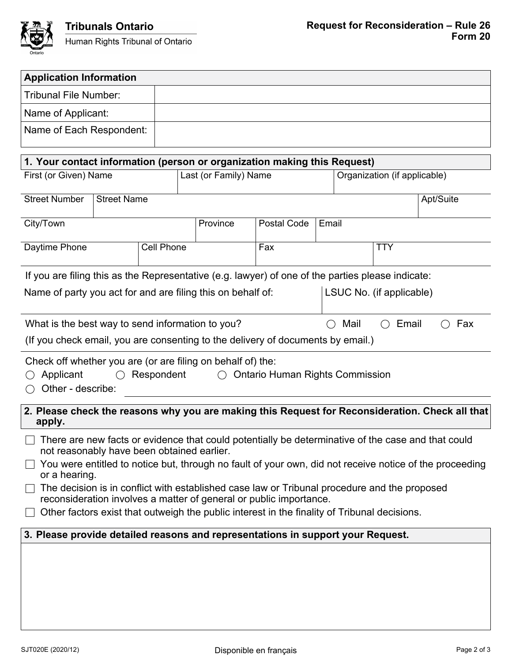

| <b>Application Information</b>                                                                                                                                     |                    |  |                                                                          |           |             |       |                              |              |  |  |
|--------------------------------------------------------------------------------------------------------------------------------------------------------------------|--------------------|--|--------------------------------------------------------------------------|-----------|-------------|-------|------------------------------|--------------|--|--|
| Tribunal File Number:                                                                                                                                              |                    |  |                                                                          |           |             |       |                              |              |  |  |
| Name of Applicant:                                                                                                                                                 |                    |  |                                                                          |           |             |       |                              |              |  |  |
| Name of Each Respondent:                                                                                                                                           |                    |  |                                                                          |           |             |       |                              |              |  |  |
|                                                                                                                                                                    |                    |  |                                                                          |           |             |       |                              |              |  |  |
|                                                                                                                                                                    |                    |  | 1. Your contact information (person or organization making this Request) |           |             |       |                              |              |  |  |
| First (or Given) Name                                                                                                                                              |                    |  | Last (or Family) Name                                                    |           |             |       | Organization (if applicable) |              |  |  |
| <b>Street Number</b>                                                                                                                                               | <b>Street Name</b> |  |                                                                          |           |             |       | Apt/Suite                    |              |  |  |
| City/Town                                                                                                                                                          |                    |  |                                                                          | Province  | Postal Code | Email |                              |              |  |  |
| Daytime Phone<br><b>Cell Phone</b>                                                                                                                                 |                    |  |                                                                          | Fax       |             |       | <b>TTY</b>                   |              |  |  |
| If you are filing this as the Representative (e.g. lawyer) of one of the parties please indicate:                                                                  |                    |  |                                                                          |           |             |       |                              |              |  |  |
| Name of party you act for and are filing this on behalf of:                                                                                                        |                    |  |                                                                          |           |             |       | LSUC No. (if applicable)     |              |  |  |
| What is the best way to send information to you?                                                                                                                   |                    |  |                                                                          | Mail<br>◯ |             |       |                              | Email<br>Fax |  |  |
| (If you check email, you are consenting to the delivery of documents by email.)                                                                                    |                    |  |                                                                          |           |             |       |                              |              |  |  |
| Check off whether you are (or are filing on behalf of) the:<br>Applicant<br>Respondent<br><b>Ontario Human Rights Commission</b><br>Other - describe:              |                    |  |                                                                          |           |             |       |                              |              |  |  |
| 2. Please check the reasons why you are making this Request for Reconsideration. Check all that<br>apply.                                                          |                    |  |                                                                          |           |             |       |                              |              |  |  |
| There are new facts or evidence that could potentially be determinative of the case and that could<br>not reasonably have been obtained earlier.                   |                    |  |                                                                          |           |             |       |                              |              |  |  |
| You were entitled to notice but, through no fault of your own, did not receive notice of the proceeding<br>or a hearing.                                           |                    |  |                                                                          |           |             |       |                              |              |  |  |
| The decision is in conflict with established case law or Tribunal procedure and the proposed<br>reconsideration involves a matter of general or public importance. |                    |  |                                                                          |           |             |       |                              |              |  |  |
| Other factors exist that outweigh the public interest in the finality of Tribunal decisions.                                                                       |                    |  |                                                                          |           |             |       |                              |              |  |  |
| 3. Please provide detailed reasons and representations in support your Request.                                                                                    |                    |  |                                                                          |           |             |       |                              |              |  |  |
|                                                                                                                                                                    |                    |  |                                                                          |           |             |       |                              |              |  |  |
|                                                                                                                                                                    |                    |  |                                                                          |           |             |       |                              |              |  |  |
|                                                                                                                                                                    |                    |  |                                                                          |           |             |       |                              |              |  |  |
|                                                                                                                                                                    |                    |  |                                                                          |           |             |       |                              |              |  |  |
|                                                                                                                                                                    |                    |  |                                                                          |           |             |       |                              |              |  |  |
|                                                                                                                                                                    |                    |  |                                                                          |           |             |       |                              |              |  |  |